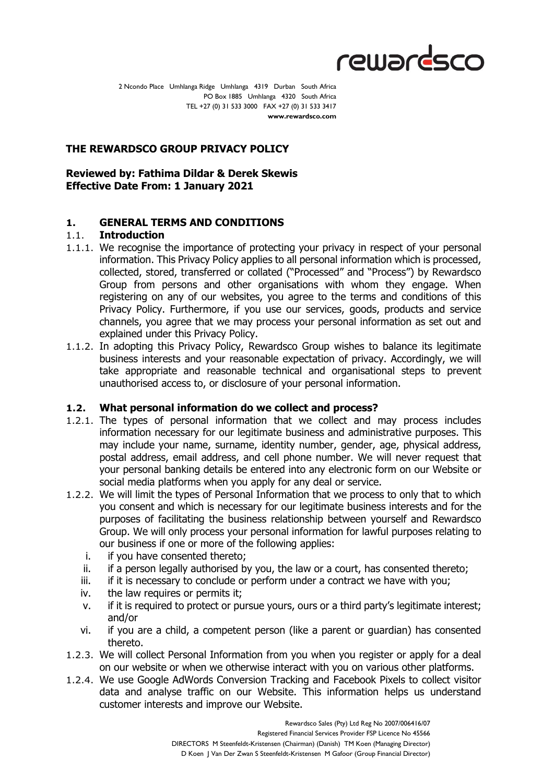

2 Ncondo Place Umhlanga Ridge Umhlanga 4319 Durban South Africa PO Box 1885 Umhlanga 4320 South Africa TEL +27 (0) 31 533 3000 FAX +27 (0) 31 533 3417 **www.rewardsco.com**

# **THE REWARDSCO GROUP PRIVACY POLICY**

# **Reviewed by: Fathima Dildar & Derek Skewis Effective Date From: 1 January 2021**

### **1. GENERAL TERMS AND CONDITIONS**

### 1.1. **Introduction**

- 1.1.1. We recognise the importance of protecting your privacy in respect of your personal information. This Privacy Policy applies to all personal information which is processed, collected, stored, transferred or collated ("Processed" and "Process") by Rewardsco Group from persons and other organisations with whom they engage. When registering on any of our websites, you agree to the terms and conditions of this Privacy Policy. Furthermore, if you use our services, goods, products and service channels, you agree that we may process your personal information as set out and explained under this Privacy Policy.
- 1.1.2. In adopting this Privacy Policy, Rewardsco Group wishes to balance its legitimate business interests and your reasonable expectation of privacy. Accordingly, we will take appropriate and reasonable technical and organisational steps to prevent unauthorised access to, or disclosure of your personal information.

### **1.2. What personal information do we collect and process?**

- 1.2.1. The types of personal information that we collect and may process includes information necessary for our legitimate business and administrative purposes. This may include your name, surname, identity number, gender, age, physical address, postal address, email address, and cell phone number. We will never request that your personal banking details be entered into any electronic form on our Website or social media platforms when you apply for any deal or service.
- 1.2.2. We will limit the types of Personal Information that we process to only that to which you consent and which is necessary for our legitimate business interests and for the purposes of facilitating the business relationship between yourself and Rewardsco Group. We will only process your personal information for lawful purposes relating to our business if one or more of the following applies:
	- i. if you have consented thereto;
	- ii. if a person legally authorised by you, the law or a court, has consented thereto;
	- iii. if it is necessary to conclude or perform under a contract we have with you;
	- iv. the law requires or permits it;
	- v. if it is required to protect or pursue yours, ours or a third party's legitimate interest; and/or
	- vi. if you are a child, a competent person (like a parent or guardian) has consented thereto.
- 1.2.3. We will collect Personal Information from you when you register or apply for a deal on our website or when we otherwise interact with you on various other platforms.
- 1.2.4. We use Google AdWords Conversion Tracking and Facebook Pixels to collect visitor data and analyse traffic on our Website. This information helps us understand customer interests and improve our Website.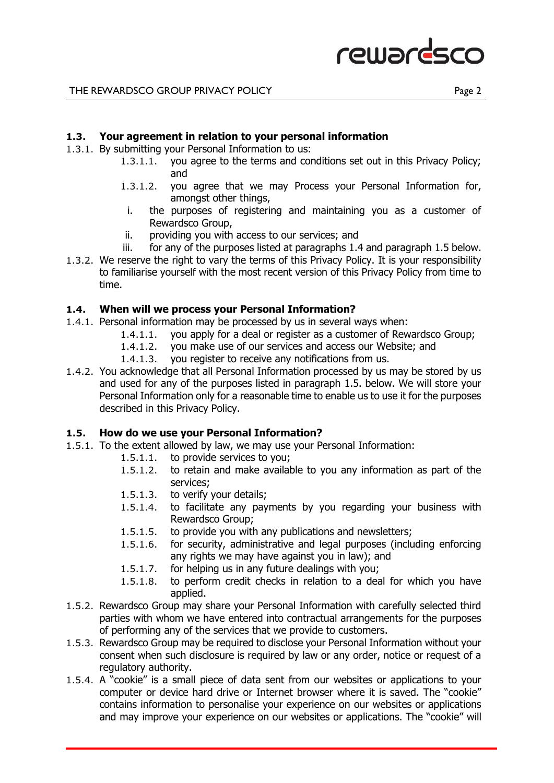

# **1.3. Your agreement in relation to your personal information**

- 1.3.1. By submitting your Personal Information to us:
	- 1.3.1.1. you agree to the terms and conditions set out in this Privacy Policy; and
	- 1.3.1.2. you agree that we may Process your Personal Information for, amongst other things,
	- i. the purposes of registering and maintaining you as a customer of Rewardsco Group,
	- ii. providing you with access to our services; and
	- iii. for any of the purposes listed at paragraphs 1.4 and paragraph 1.5 below.
- 1.3.2. We reserve the right to vary the terms of this Privacy Policy. It is your responsibility to familiarise yourself with the most recent version of this Privacy Policy from time to time.

### **1.4. When will we process your Personal Information?**

- 1.4.1. Personal information may be processed by us in several ways when:
	- 1.4.1.1. you apply for a deal or register as a customer of Rewardsco Group;
	- 1.4.1.2. you make use of our services and access our Website; and
	- 1.4.1.3. you register to receive any notifications from us.
- 1.4.2. You acknowledge that all Personal Information processed by us may be stored by us and used for any of the purposes listed in paragraph 1.5. below. We will store your Personal Information only for a reasonable time to enable us to use it for the purposes described in this Privacy Policy.

# **1.5. How do we use your Personal Information?**

- 1.5.1. To the extent allowed by law, we may use your Personal Information:
	- 1.5.1.1. to provide services to you;
	- 1.5.1.2. to retain and make available to you any information as part of the services;
	- 1.5.1.3. to verify your details;
	- 1.5.1.4. to facilitate any payments by you regarding your business with Rewardsco Group;
	- 1.5.1.5. to provide you with any publications and newsletters;
	- 1.5.1.6. for security, administrative and legal purposes (including enforcing any rights we may have against you in law); and
	- 1.5.1.7. for helping us in any future dealings with you;
	- 1.5.1.8. to perform credit checks in relation to a deal for which you have applied.
- 1.5.2. Rewardsco Group may share your Personal Information with carefully selected third parties with whom we have entered into contractual arrangements for the purposes of performing any of the services that we provide to customers.
- 1.5.3. Rewardsco Group may be required to disclose your Personal Information without your consent when such disclosure is required by law or any order, notice or request of a regulatory authority.
- 1.5.4. A "cookie" is a small piece of data sent from our websites or applications to your computer or device hard drive or Internet browser where it is saved. The "cookie" contains information to personalise your experience on our websites or applications and may improve your experience on our websites or applications. The "cookie" will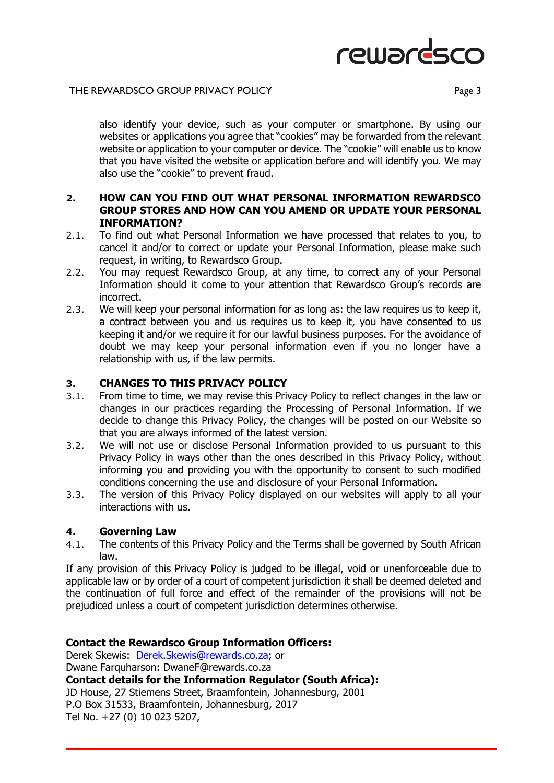

also identify your device, such as your computer or smartphone. By using our websites or applications you agree that "cookies" may be forwarded from the relevant website or application to your computer or device. The "cookie" will enable us to know that you have visited the website or application before and will identify you. We may also use the "cookie" to prevent fraud.

# **2. HOW CAN YOU FIND OUT WHAT PERSONAL INFORMATION REWARDSCO GROUP STORES AND HOW CAN YOU AMEND OR UPDATE YOUR PERSONAL INFORMATION?**

- 2.1. To find out what Personal Information we have processed that relates to you, to cancel it and/or to correct or update your Personal Information, please make such request, in writing, to Rewardsco Group.
- 2.2. You may request Rewardsco Group, at any time, to correct any of your Personal Information should it come to your attention that Rewardsco Group's records are incorrect.
- 2.3. We will keep your personal information for as long as: the law requires us to keep it, a contract between you and us requires us to keep it, you have consented to us keeping it and/or we require it for our lawful business purposes. For the avoidance of doubt we may keep your personal information even if you no longer have a relationship with us, if the law permits.

# **3. CHANGES TO THIS PRIVACY POLICY**

- 3.1. From time to time, we may revise this Privacy Policy to reflect changes in the law or changes in our practices regarding the Processing of Personal Information. If we decide to change this Privacy Policy, the changes will be posted on our Website so that you are always informed of the latest version.
- 3.2. We will not use or disclose Personal Information provided to us pursuant to this Privacy Policy in ways other than the ones described in this Privacy Policy, without informing you and providing you with the opportunity to consent to such modified conditions concerning the use and disclosure of your Personal Information.
- 3.3. The version of this Privacy Policy displayed on our websites will apply to all your interactions with us.

### **4. Governing Law**

4.1. The contents of this Privacy Policy and the Terms shall be governed by South African law.

If any provision of this Privacy Policy is judged to be illegal, void or unenforceable due to applicable law or by order of a court of competent jurisdiction it shall be deemed deleted and the continuation of full force and effect of the remainder of the provisions will not be prejudiced unless a court of competent jurisdiction determines otherwise.

### **Contact the Rewardsco Group Information Officers:**

Derek Skewis: [Derek.Skewis@rewards.co.za;](mailto:Derek.Skewis@rewards.co.za) or Dwane Farquharson: DwaneF@rewards.co.za **Contact details for the Information Regulator (South Africa):**  JD House, 27 Stiemens Street, Braamfontein, Johannesburg, 2001 P.O Box 31533, Braamfontein, Johannesburg, 2017 Tel No. +27 (0) 10 023 5207,